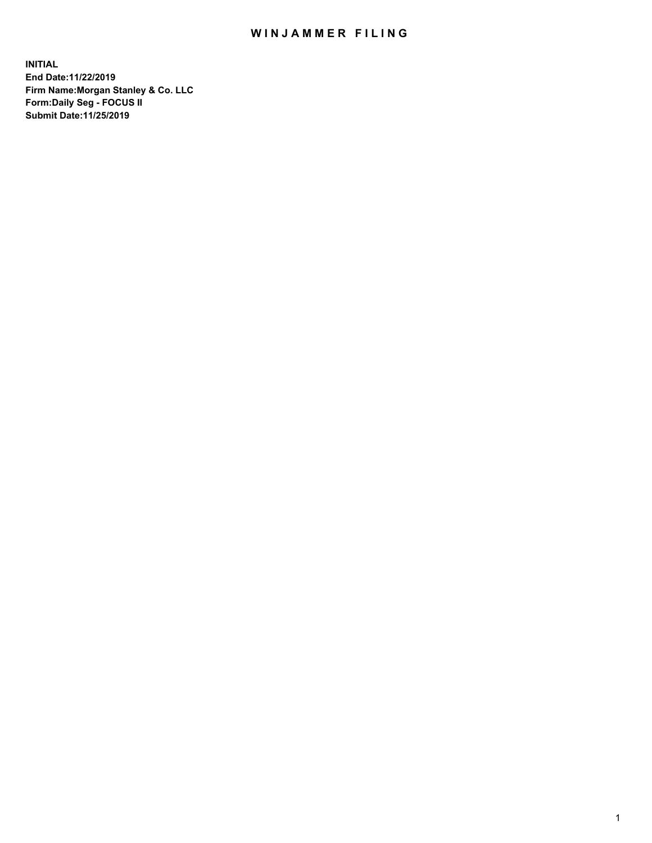## WIN JAMMER FILING

**INITIAL End Date:11/22/2019 Firm Name:Morgan Stanley & Co. LLC Form:Daily Seg - FOCUS II Submit Date:11/25/2019**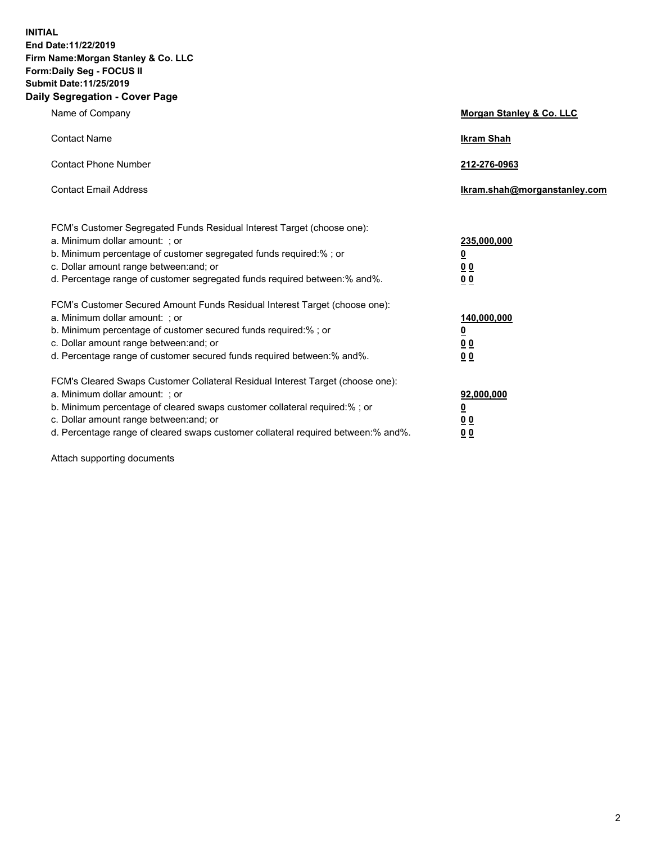**INITIAL End Date:11/22/2019 Firm Name:Morgan Stanley & Co. LLC Form:Daily Seg - FOCUS II Submit Date:11/25/2019 Daily Segregation - Cover Page**

| Name of Company                                                                                                                                                                                                                                                                                        | Morgan Stanley & Co. LLC             |
|--------------------------------------------------------------------------------------------------------------------------------------------------------------------------------------------------------------------------------------------------------------------------------------------------------|--------------------------------------|
| <b>Contact Name</b>                                                                                                                                                                                                                                                                                    | <b>Ikram Shah</b>                    |
| <b>Contact Phone Number</b>                                                                                                                                                                                                                                                                            | 212-276-0963                         |
| <b>Contact Email Address</b>                                                                                                                                                                                                                                                                           | Ikram.shah@morganstanley.com         |
| FCM's Customer Segregated Funds Residual Interest Target (choose one):<br>a. Minimum dollar amount: ; or<br>b. Minimum percentage of customer segregated funds required:% ; or<br>c. Dollar amount range between: and; or<br>d. Percentage range of customer segregated funds required between:% and%. | 235,000,000<br><u>0</u><br>00<br>00  |
| FCM's Customer Secured Amount Funds Residual Interest Target (choose one):<br>a. Minimum dollar amount: ; or<br>b. Minimum percentage of customer secured funds required:% ; or<br>c. Dollar amount range between: and; or                                                                             | 140,000,000<br><u>0</u><br><u>00</u> |
| d. Percentage range of customer secured funds required between: % and %.<br>FCM's Cleared Swaps Customer Collateral Residual Interest Target (choose one):                                                                                                                                             | 0 <sub>0</sub>                       |
| a. Minimum dollar amount: ; or<br>b. Minimum percentage of cleared swaps customer collateral required:% ; or<br>c. Dollar amount range between: and; or<br>d. Percentage range of cleared swaps customer collateral required between:% and%.                                                           | 92,000,000<br><u>0</u><br>0 Q<br>00  |

Attach supporting documents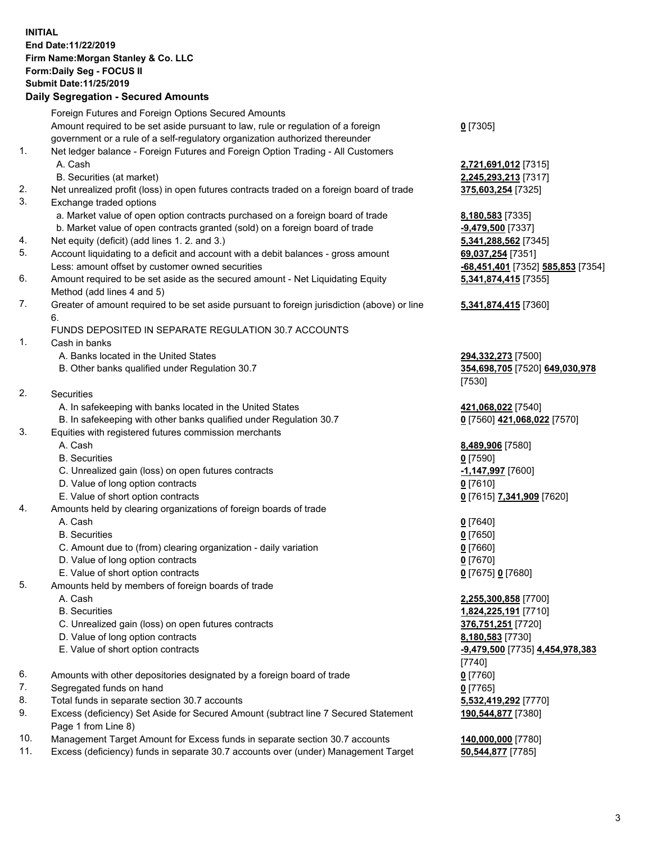## **INITIAL End Date:11/22/2019 Firm Name:Morgan Stanley & Co. LLC Form:Daily Seg - FOCUS II Submit Date:11/25/2019**

## **Daily Segregation - Secured Amounts**

|    | Foreign Futures and Foreign Options Secured Amounts<br>Amount required to be set aside pursuant to law, rule or regulation of a foreign                         | $0$ [7305]                             |
|----|-----------------------------------------------------------------------------------------------------------------------------------------------------------------|----------------------------------------|
| 1. | government or a rule of a self-regulatory organization authorized thereunder<br>Net ledger balance - Foreign Futures and Foreign Option Trading - All Customers |                                        |
|    | A. Cash                                                                                                                                                         | 2,721,691,012 [73                      |
|    | B. Securities (at market)                                                                                                                                       | 2,245,293,213 [73                      |
| 2. | Net unrealized profit (loss) in open futures contracts traded on a foreign board of trade                                                                       | 375,603,254 [732                       |
| 3. | Exchange traded options                                                                                                                                         |                                        |
|    | a. Market value of open option contracts purchased on a foreign board of trade                                                                                  | 8,180,583 [7335]                       |
|    | b. Market value of open contracts granted (sold) on a foreign board of trade                                                                                    | -9,479,500 [7337]                      |
| 4. | Net equity (deficit) (add lines 1.2. and 3.)                                                                                                                    | 5,341,288,562 [73                      |
| 5. | Account liquidating to a deficit and account with a debit balances - gross amount                                                                               | 69,037,254 [7351]                      |
|    | Less: amount offset by customer owned securities                                                                                                                | -68,451,401 [7352                      |
| 6. | Amount required to be set aside as the secured amount - Net Liquidating Equity<br>Method (add lines 4 and 5)                                                    | 5,341,874,415 [73                      |
| 7. | Greater of amount required to be set aside pursuant to foreign jurisdiction (above) or line<br>6.                                                               | 5,341,874,415 [73                      |
|    | FUNDS DEPOSITED IN SEPARATE REGULATION 30.7 ACCOUNTS                                                                                                            |                                        |
| 1. | Cash in banks                                                                                                                                                   |                                        |
|    | A. Banks located in the United States                                                                                                                           | 294,332,273 [750                       |
|    | B. Other banks qualified under Regulation 30.7                                                                                                                  | 354,698,705 [7520                      |
|    |                                                                                                                                                                 | [7530]                                 |
| 2. | Securities                                                                                                                                                      |                                        |
|    | A. In safekeeping with banks located in the United States                                                                                                       | 421,068,022 [7540                      |
|    | B. In safekeeping with other banks qualified under Regulation 30.7                                                                                              | 0 [7560] 421,068,0                     |
| 3. | Equities with registered futures commission merchants                                                                                                           |                                        |
|    | A. Cash                                                                                                                                                         | 8,489,906 [7580]                       |
|    | <b>B.</b> Securities                                                                                                                                            | $0$ [7590]                             |
|    | C. Unrealized gain (loss) on open futures contracts                                                                                                             | -1,147,997 [7600]                      |
|    | D. Value of long option contracts                                                                                                                               | $0$ [7610]                             |
|    | E. Value of short option contracts                                                                                                                              | 0 <sup>[7615]</sup> 7,341,909          |
| 4. | Amounts held by clearing organizations of foreign boards of trade                                                                                               |                                        |
|    | A. Cash                                                                                                                                                         | $0$ [7640]                             |
|    | <b>B.</b> Securities                                                                                                                                            | $0$ [7650]                             |
|    | C. Amount due to (from) clearing organization - daily variation                                                                                                 | $0$ [7660]                             |
|    | D. Value of long option contracts                                                                                                                               | $0$ [7670]                             |
| 5. | E. Value of short option contracts                                                                                                                              | 0 [7675] 0 [7680]                      |
|    | Amounts held by members of foreign boards of trade<br>A. Cash                                                                                                   |                                        |
|    | <b>B.</b> Securities                                                                                                                                            | 2,255,300,858 [77<br>1,824,225,191 [77 |
|    | C. Unrealized gain (loss) on open futures contracts                                                                                                             | 376,751,251 [7720                      |
|    | D. Value of long option contracts                                                                                                                               | 8,180,583 [7730]                       |
|    | E. Value of short option contracts                                                                                                                              | $-9,479,500$ [7735]                    |
|    |                                                                                                                                                                 | [7740]                                 |
| 6. | Amounts with other depositories designated by a foreign board of trade                                                                                          | $0$ [7760]                             |
| 7. | Segregated funds on hand                                                                                                                                        | $0$ [7765]                             |
| 8. | Total funds in separate section 30.7 accounts                                                                                                                   | 5,532,419,292 [77                      |
| 9. | Excess (deficiency) Set Aside for Secured Amount (subtract line 7 Secured Statement                                                                             | 190,544,877 [7380                      |
|    | Page 1 from Line 8)                                                                                                                                             |                                        |

- 10. Management Target Amount for Excess funds in separate section 30.7 accounts **140,000,000** [7780]
- 11. Excess (deficiency) funds in separate 30.7 accounts over (under) Management Target **50,544,877** [7785]

**691,012** [7315] **293,213** [7317] 2. 254 [7325]

288,562 [7345] Less: amount offset by customer owned securities **-68,451,401** [7352] **585,853** [7354] **5,341,874,415** [7355]

## **5,341,874,415** [7360]

82,273 [7500] B. Other banks qualified under Regulation 30.7 **354,698,705** [7520] **649,030,978**

8.022 [7540] B. [7570] **421,068,022** [7570]

E. Value of short option contracts **0** [7615] **7,341,909** [7620]

 A. Cash **2,255,300,858** [7700] B. Securities **1,824,225,191** [7710]  $61, 251$  [7720] E. Value of short option contracts **-9,479,500** [7735] **4,454,978,383 819,292** [7770] **190,544,877** [7380]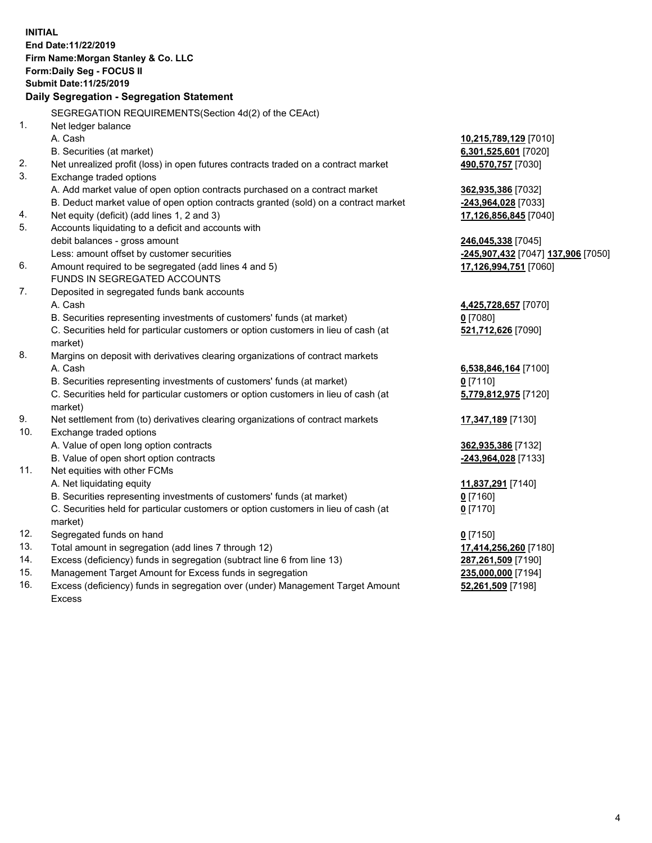**INITIAL End Date:11/22/2019 Firm Name:Morgan Stanley & Co. LLC Form:Daily Seg - FOCUS II Submit Date:11/25/2019 Daily Segregation - Segregation Statement** SEGREGATION REQUIREMENTS(Section 4d(2) of the CEAct) 1. Net ledger balance A. Cash **10,215,789,129** [7010] B. Securities (at market) **6,301,525,601** [7020] 2. Net unrealized profit (loss) in open futures contracts traded on a contract market **490,570,757** [7030] 3. Exchange traded options A. Add market value of open option contracts purchased on a contract market **362,935,386** [7032] B. Deduct market value of open option contracts granted (sold) on a contract market **-243,964,028** [7033] 4. Net equity (deficit) (add lines 1, 2 and 3) **17,126,856,845** [7040] 5. Accounts liquidating to a deficit and accounts with debit balances - gross amount **246,045,338** [7045] Less: amount offset by customer securities **-245,907,432** [7047] **137,906** [7050] 6. Amount required to be segregated (add lines 4 and 5) **17,126,994,751** [7060] FUNDS IN SEGREGATED ACCOUNTS 7. Deposited in segregated funds bank accounts A. Cash **4,425,728,657** [7070] B. Securities representing investments of customers' funds (at market) **0** [7080] C. Securities held for particular customers or option customers in lieu of cash (at market) **521,712,626** [7090] 8. Margins on deposit with derivatives clearing organizations of contract markets A. Cash **6,538,846,164** [7100] B. Securities representing investments of customers' funds (at market) **0** [7110] C. Securities held for particular customers or option customers in lieu of cash (at market) **5,779,812,975** [7120] 9. Net settlement from (to) derivatives clearing organizations of contract markets **17,347,189** [7130] 10. Exchange traded options A. Value of open long option contracts **362,935,386** [7132] B. Value of open short option contracts **-243,964,028** [7133] 11. Net equities with other FCMs A. Net liquidating equity **11,837,291** [7140] B. Securities representing investments of customers' funds (at market) **0** [7160] C. Securities held for particular customers or option customers in lieu of cash (at market) **0** [7170] 12. Segregated funds on hand **0** [7150] 13. Total amount in segregation (add lines 7 through 12) **17,414,256,260** [7180] 14. Excess (deficiency) funds in segregation (subtract line 6 from line 13) **287,261,509** [7190] 15. Management Target Amount for Excess funds in segregation **235,000,000** [7194]

16. Excess (deficiency) funds in segregation over (under) Management Target Amount Excess

**52,261,509** [7198]